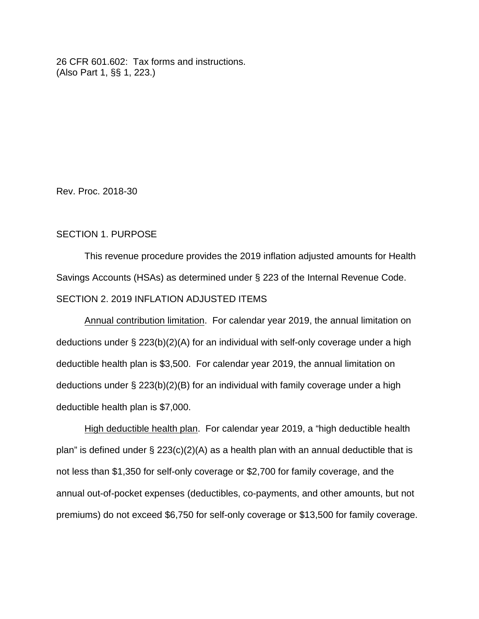26 CFR 601.602: Tax forms and instructions. (Also Part 1, §§ 1, 223.)

Rev. Proc. 2018-30

## SECTION 1. PURPOSE

This revenue procedure provides the 2019 inflation adjusted amounts for Health Savings Accounts (HSAs) as determined under § 223 of the Internal Revenue Code. SECTION 2. 2019 INFLATION ADJUSTED ITEMS

Annual contribution limitation. For calendar year 2019, the annual limitation on deductions under § 223(b)(2)(A) for an individual with self-only coverage under a high deductible health plan is \$3,500. For calendar year 2019, the annual limitation on deductions under § 223(b)(2)(B) for an individual with family coverage under a high deductible health plan is \$7,000.

High deductible health plan. For calendar year 2019, a "high deductible health plan" is defined under  $\S 223(c)(2)(A)$  as a health plan with an annual deductible that is not less than \$1,350 for self-only coverage or \$2,700 for family coverage, and the annual out-of-pocket expenses (deductibles, co-payments, and other amounts, but not premiums) do not exceed \$6,750 for self-only coverage or \$13,500 for family coverage.